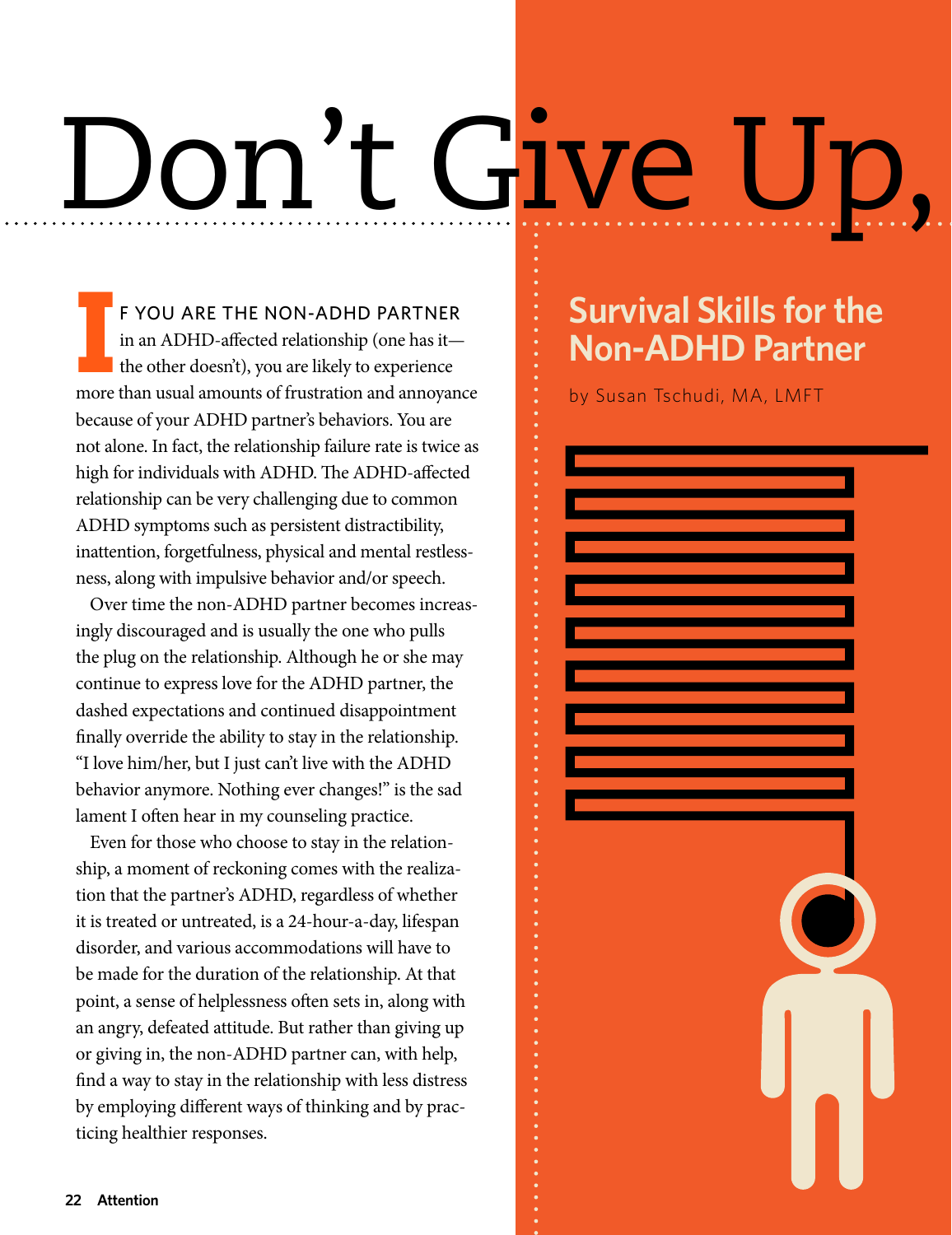# Don't Give

**I** more than usual amounts of frustration and annoyance F YOU ARE THE NON-ADHD PARTNER in an ADHD-affected relationship (one has it the other doesn't), you are likely to experience because of your ADHD partner's behaviors. You are not alone. In fact, the relationship failure rate is twice as high for individuals with ADHD. The ADHD-affected relationship can be very challenging due to common ADHD symptoms such as persistent distractibility, inattention, forgetfulness, physical and mental restlessness, along with impulsive behavior and/or speech.

Over time the non-ADHD partner becomes increasingly discouraged and is usually the one who pulls the plug on the relationship. Although he or she may continue to express love for the ADHD partner, the dashed expectations and continued disappointment finally override the ability to stay in the relationship. "I love him/her, but I just can't live with the ADHD behavior anymore. Nothing ever changes!" is the sad lament I often hear in my counseling practice.

Even for those who choose to stay in the relationship, a moment of reckoning comes with the realization that the partner's ADHD, regardless of whether it is treated or untreated, is a 24-hour-a-day, lifespan disorder, and various accommodations will have to be made for the duration of the relationship. At that point, a sense of helplessness often sets in, along with an angry, defeated attitude. But rather than giving up or giving in, the non-ADHD partner can, with help, find a way to stay in the relationship with less distress by employing different ways of thinking and by practicing healthier responses.

# **Survival Skills for the Non-ADHD Partner**

by Susan Tschudi, MA, LMFT

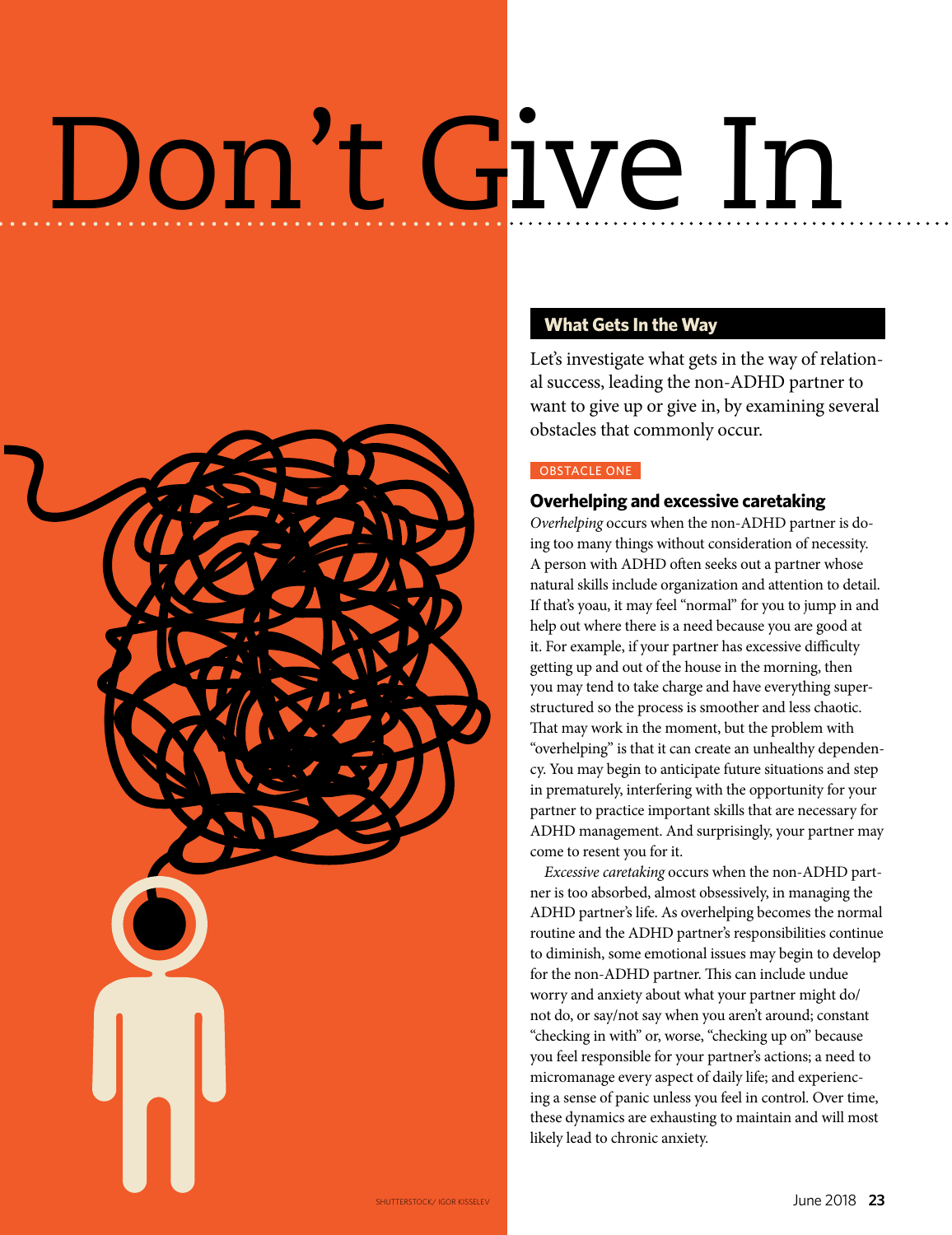# Don't Give In



# **What Gets In the Way**

Let's investigate what gets in the way of relational success, leading the non-ADHD partner to want to give up or give in, by examining several obstacles that commonly occur.

### OBSTACLE ONE

## **Overhelping and excessive caretaking**

*Overhelping* occurs when the non-ADHD partner is doing too many things without consideration of necessity. A person with ADHD often seeks out a partner whose natural skills include organization and attention to detail. If that's yoau, it may feel "normal" for you to jump in and help out where there is a need because you are good at it. For example, if your partner has excessive difficulty getting up and out of the house in the morning, then you may tend to take charge and have everything superstructured so the process is smoother and less chaotic. That may work in the moment, but the problem with "overhelping" is that it can create an unhealthy dependency. You may begin to anticipate future situations and step in prematurely, interfering with the opportunity for your partner to practice important skills that are necessary for ADHD management. And surprisingly, your partner may come to resent you for it.

*Excessive caretaking* occurs when the non-ADHD partner is too absorbed, almost obsessively, in managing the ADHD partner's life. As overhelping becomes the normal routine and the ADHD partner's responsibilities continue to diminish, some emotional issues may begin to develop for the non-ADHD partner. This can include undue worry and anxiety about what your partner might do/ not do, or say/not say when you aren't around; constant "checking in with" or, worse, "checking up on" because you feel responsible for your partner's actions; a need to micromanage every aspect of daily life; and experiencing a sense of panic unless you feel in control. Over time, these dynamics are exhausting to maintain and will most likely lead to chronic anxiety.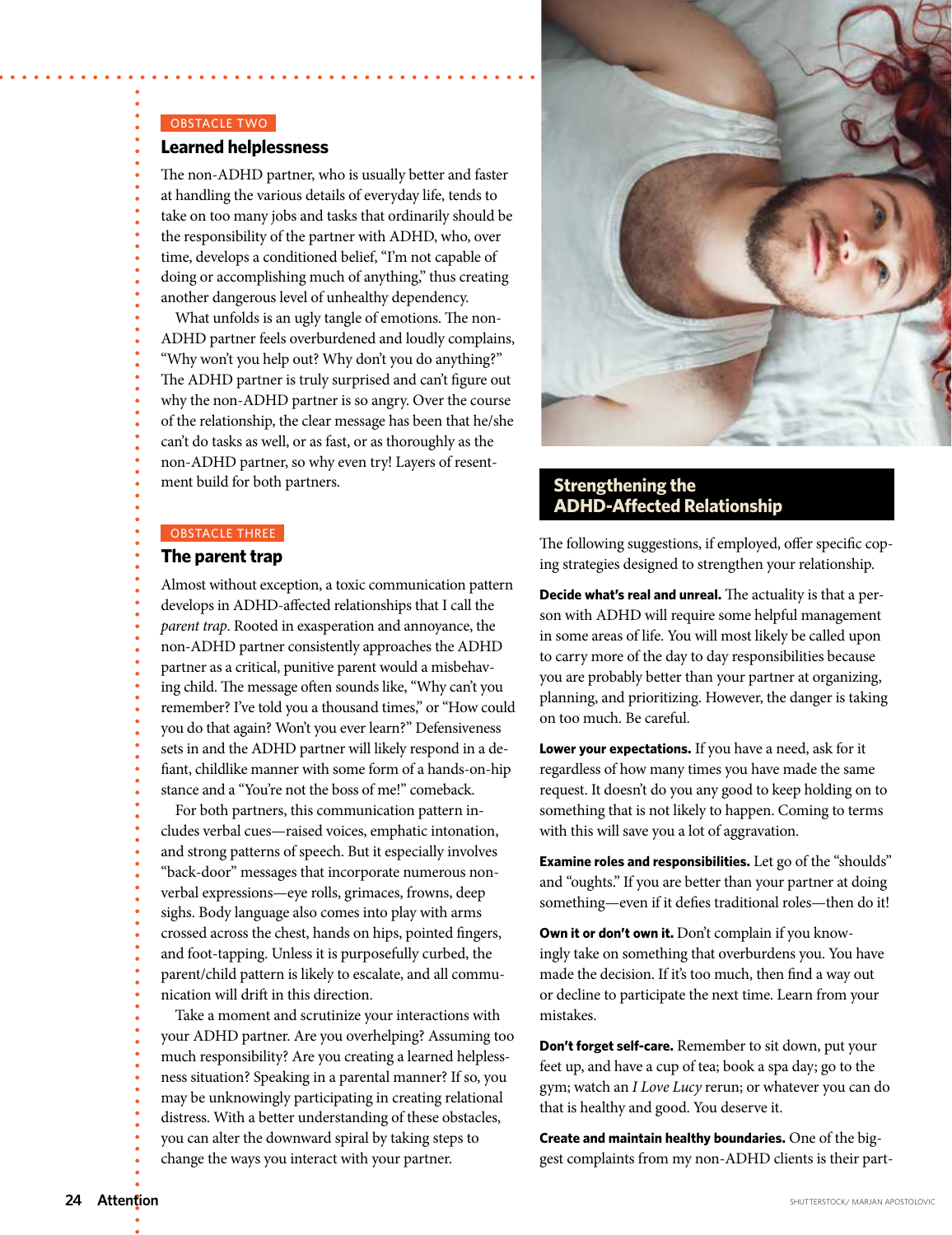### OBSTACLE TWO

### **Learned helplessness**

The non-ADHD partner, who is usually better and faster at handling the various details of everyday life, tends to take on too many jobs and tasks that ordinarily should be the responsibility of the partner with ADHD, who, over time, develops a conditioned belief, "I'm not capable of doing or accomplishing much of anything," thus creating another dangerous level of unhealthy dependency.

What unfolds is an ugly tangle of emotions. The non-ADHD partner feels overburdened and loudly complains, "Why won't you help out? Why don't you do anything?" The ADHD partner is truly surprised and can't figure out why the non-ADHD partner is so angry. Over the course of the relationship, the clear message has been that he/she can't do tasks as well, or as fast, or as thoroughly as the non-ADHD partner, so why even try! Layers of resentment build for both partners.

### OBSTACLE THREE

### **The parent trap**

Almost without exception, a toxic communication pattern develops in ADHD-affected relationships that I call the *parent trap*. Rooted in exasperation and annoyance, the non-ADHD partner consistently approaches the ADHD partner as a critical, punitive parent would a misbehaving child. The message often sounds like, "Why can't you remember? I've told you a thousand times," or "How could you do that again? Won't you ever learn?" Defensiveness sets in and the ADHD partner will likely respond in a defiant, childlike manner with some form of a hands-on-hip stance and a "You're not the boss of me!" comeback.

For both partners, this communication pattern includes verbal cues—raised voices, emphatic intonation, and strong patterns of speech. But it especially involves "back-door" messages that incorporate numerous nonverbal expressions—eye rolls, grimaces, frowns, deep sighs. Body language also comes into play with arms crossed across the chest, hands on hips, pointed fingers, and foot-tapping. Unless it is purposefully curbed, the parent/child pattern is likely to escalate, and all communication will drift in this direction.

Take a moment and scrutinize your interactions with your ADHD partner. Are you overhelping? Assuming too much responsibility? Are you creating a learned helplessness situation? Speaking in a parental manner? If so, you may be unknowingly participating in creating relational distress. With a better understanding of these obstacles, you can alter the downward spiral by taking steps to change the ways you interact with your partner.



## **Strengthening the ADHD-Affected Relationship**

The following suggestions, if employed, offer specific coping strategies designed to strengthen your relationship.

**Decide what's real and unreal.** The actuality is that a person with ADHD will require some helpful management in some areas of life. You will most likely be called upon to carry more of the day to day responsibilities because you are probably better than your partner at organizing, planning, and prioritizing. However, the danger is taking on too much. Be careful.

**Lower your expectations.** If you have a need, ask for it regardless of how many times you have made the same request. It doesn't do you any good to keep holding on to something that is not likely to happen. Coming to terms with this will save you a lot of aggravation.

**Examine roles and responsibilities.** Let go of the "shoulds" and "oughts." If you are better than your partner at doing something—even if it defies traditional roles—then do it!

**Own it or don't own it.** Don't complain if you knowingly take on something that overburdens you. You have made the decision. If it's too much, then find a way out or decline to participate the next time. Learn from your mistakes.

**Don't forget self-care.** Remember to sit down, put your feet up, and have a cup of tea; book a spa day; go to the gym; watch an *I Love Lucy* rerun; or whatever you can do that is healthy and good. You deserve it.

**Create and maintain healthy boundaries.** One of the biggest complaints from my non-ADHD clients is their part-